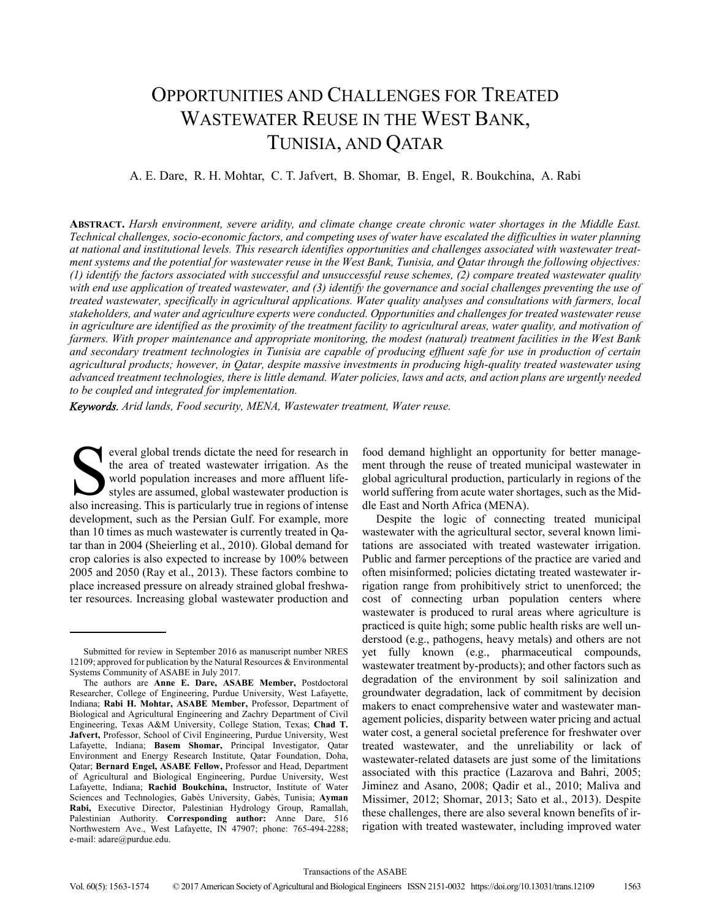# OPPORTUNITIES AND CHALLENGES FOR TREATED WASTEWATER REUSE IN THE WEST BANK, TUNISIA, AND QATAR

## A. E. Dare, R. H. Mohtar, C. T. Jafvert, B. Shomar, B. Engel, R. Boukchina, A. Rabi

**ABSTRACT.** *Harsh environment, severe aridity, and climate change create chronic water shortages in the Middle East. Technical challenges, socio-economic factors, and competing uses of water have escalated the difficulties in water planning at national and institutional levels. This research identifies opportunities and challenges associated with wastewater treatment systems and the potential for wastewater reuse in the West Bank, Tunisia, and Qatar through the following objectives: (1) identify the factors associated with successful and unsuccessful reuse schemes, (2) compare treated wastewater quality with end use application of treated wastewater, and (3) identify the governance and social challenges preventing the use of treated wastewater, specifically in agricultural applications. Water quality analyses and consultations with farmers, local stakeholders, and water and agriculture experts were conducted. Opportunities and challenges for treated wastewater reuse in agriculture are identified as the proximity of the treatment facility to agricultural areas, water quality, and motivation of farmers. With proper maintenance and appropriate monitoring, the modest (natural) treatment facilities in the West Bank and secondary treatment technologies in Tunisia are capable of producing effluent safe for use in production of certain agricultural products; however, in Qatar, despite massive investments in producing high-quality treated wastewater using advanced treatment technologies, there is little demand. Water policies, laws and acts, and action plans are urgently needed to be coupled and integrated for implementation.* 

*Keywords. Arid lands, Food security, MENA, Wastewater treatment, Water reuse.* 

everal global trends dictate the need for research in the area of treated wastewater irrigation. As the world population increases and more affluent lifestyles are assumed, global wastewater production is also increasing. This is particularly true in regions of intense development, such as the Persian Gulf. For example, more than 10 times as much wastewater is currently treated in Qatar than in 2004 (Sheierling et al., 2010). Global demand for crop calories is also expected to increase by 100% between 2005 and 2050 (Ray et al., 2013). These factors combine to place increased pressure on already strained global freshwater resources. Increasing global wastewater production and Super<br>
Super<br>
Super<br>
Supersity<br>
Response to the style

food demand highlight an opportunity for better management through the reuse of treated municipal wastewater in global agricultural production, particularly in regions of the world suffering from acute water shortages, such as the Middle East and North Africa (MENA).

Despite the logic of connecting treated municipal wastewater with the agricultural sector, several known limitations are associated with treated wastewater irrigation. Public and farmer perceptions of the practice are varied and often misinformed; policies dictating treated wastewater irrigation range from prohibitively strict to unenforced; the cost of connecting urban population centers where wastewater is produced to rural areas where agriculture is practiced is quite high; some public health risks are well understood (e.g., pathogens, heavy metals) and others are not yet fully known (e.g., pharmaceutical compounds, wastewater treatment by-products); and other factors such as degradation of the environment by soil salinization and groundwater degradation, lack of commitment by decision makers to enact comprehensive water and wastewater management policies, disparity between water pricing and actual water cost, a general societal preference for freshwater over treated wastewater, and the unreliability or lack of wastewater-related datasets are just some of the limitations associated with this practice (Lazarova and Bahri, 2005; Jiminez and Asano, 2008; Qadir et al., 2010; Maliva and Missimer, 2012; Shomar, 2013; Sato et al., 2013). Despite these challenges, there are also several known benefits of irrigation with treated wastewater, including improved water

Submitted for review in September 2016 as manuscript number NRES 12109; approved for publication by the Natural Resources & Environmental Systems Community of ASABE in July 2017.

The authors are **Anne E. Dare, ASABE Member,** Postdoctoral Researcher, College of Engineering, Purdue University, West Lafayette, Indiana; **Rabi H. Mohtar, ASABE Member,** Professor, Department of Biological and Agricultural Engineering and Zachry Department of Civil Engineering, Texas A&M University, College Station, Texas; **Chad T. Jafvert,** Professor, School of Civil Engineering, Purdue University, West Lafayette, Indiana; **Basem Shomar,** Principal Investigator, Qatar Environment and Energy Research Institute, Qatar Foundation, Doha, Qatar; **Bernard Engel, ASABE Fellow,** Professor and Head, Department of Agricultural and Biological Engineering, Purdue University, West Lafayette, Indiana; **Rachid Boukchina,** Instructor, Institute of Water Sciences and Technologies, Gabès University, Gabès, Tunisia; **Ayman Rabi,** Executive Director, Palestinian Hydrology Group, Ramallah, Palestinian Authority. **Corresponding author:** Anne Dare, 516 Northwestern Ave., West Lafayette, IN 47907; phone: 765-494-2288; e-mail: adare@purdue.edu.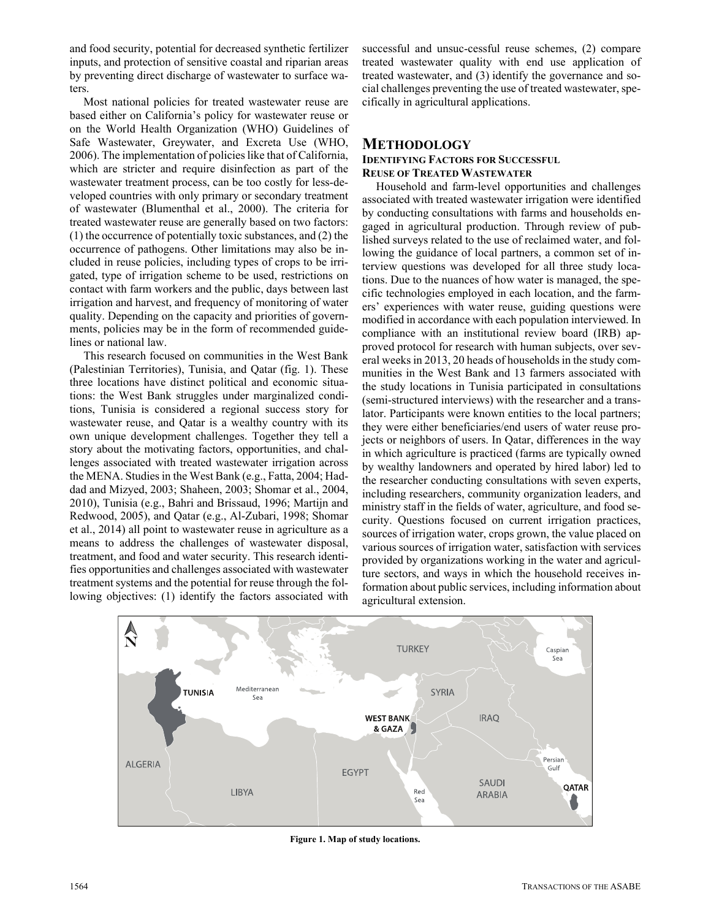and food security, potential for decreased synthetic fertilizer inputs, and protection of sensitive coastal and riparian areas by preventing direct discharge of wastewater to surface waters.

Most national policies for treated wastewater reuse are based either on California's policy for wastewater reuse or on the World Health Organization (WHO) Guidelines of Safe Wastewater, Greywater, and Excreta Use (WHO, 2006). The implementation of policies like that of California, which are stricter and require disinfection as part of the wastewater treatment process, can be too costly for less-developed countries with only primary or secondary treatment of wastewater (Blumenthal et al., 2000). The criteria for treated wastewater reuse are generally based on two factors: (1) the occurrence of potentially toxic substances, and (2) the occurrence of pathogens. Other limitations may also be included in reuse policies, including types of crops to be irrigated, type of irrigation scheme to be used, restrictions on contact with farm workers and the public, days between last irrigation and harvest, and frequency of monitoring of water quality. Depending on the capacity and priorities of governments, policies may be in the form of recommended guidelines or national law.

This research focused on communities in the West Bank (Palestinian Territories), Tunisia, and Qatar (fig. 1). These three locations have distinct political and economic situations: the West Bank struggles under marginalized conditions, Tunisia is considered a regional success story for wastewater reuse, and Qatar is a wealthy country with its own unique development challenges. Together they tell a story about the motivating factors, opportunities, and challenges associated with treated wastewater irrigation across the MENA. Studies in the West Bank (e.g., Fatta, 2004; Haddad and Mizyed, 2003; Shaheen, 2003; Shomar et al., 2004, 2010), Tunisia (e.g., Bahri and Brissaud, 1996; Martijn and Redwood, 2005), and Qatar (e.g., Al-Zubari, 1998; Shomar et al., 2014) all point to wastewater reuse in agriculture as a means to address the challenges of wastewater disposal, treatment, and food and water security. This research identifies opportunities and challenges associated with wastewater treatment systems and the potential for reuse through the following objectives: (1) identify the factors associated with

successful and unsuc-cessful reuse schemes, (2) compare treated wastewater quality with end use application of treated wastewater, and (3) identify the governance and social challenges preventing the use of treated wastewater, specifically in agricultural applications.

## **METHODOLOGY IDENTIFYING FACTORS FOR SUCCESSFUL REUSE OF TREATED WASTEWATER**

Household and farm-level opportunities and challenges associated with treated wastewater irrigation were identified by conducting consultations with farms and households engaged in agricultural production. Through review of published surveys related to the use of reclaimed water, and following the guidance of local partners, a common set of interview questions was developed for all three study locations. Due to the nuances of how water is managed, the specific technologies employed in each location, and the farmers' experiences with water reuse, guiding questions were modified in accordance with each population interviewed. In compliance with an institutional review board (IRB) approved protocol for research with human subjects, over several weeks in 2013, 20 heads of households in the study communities in the West Bank and 13 farmers associated with the study locations in Tunisia participated in consultations (semi-structured interviews) with the researcher and a translator. Participants were known entities to the local partners; they were either beneficiaries/end users of water reuse projects or neighbors of users. In Qatar, differences in the way in which agriculture is practiced (farms are typically owned by wealthy landowners and operated by hired labor) led to the researcher conducting consultations with seven experts, including researchers, community organization leaders, and ministry staff in the fields of water, agriculture, and food security. Questions focused on current irrigation practices, sources of irrigation water, crops grown, the value placed on various sources of irrigation water, satisfaction with services provided by organizations working in the water and agriculture sectors, and ways in which the household receives information about public services, including information about agricultural extension.



**Figure 1. Map of study locations.**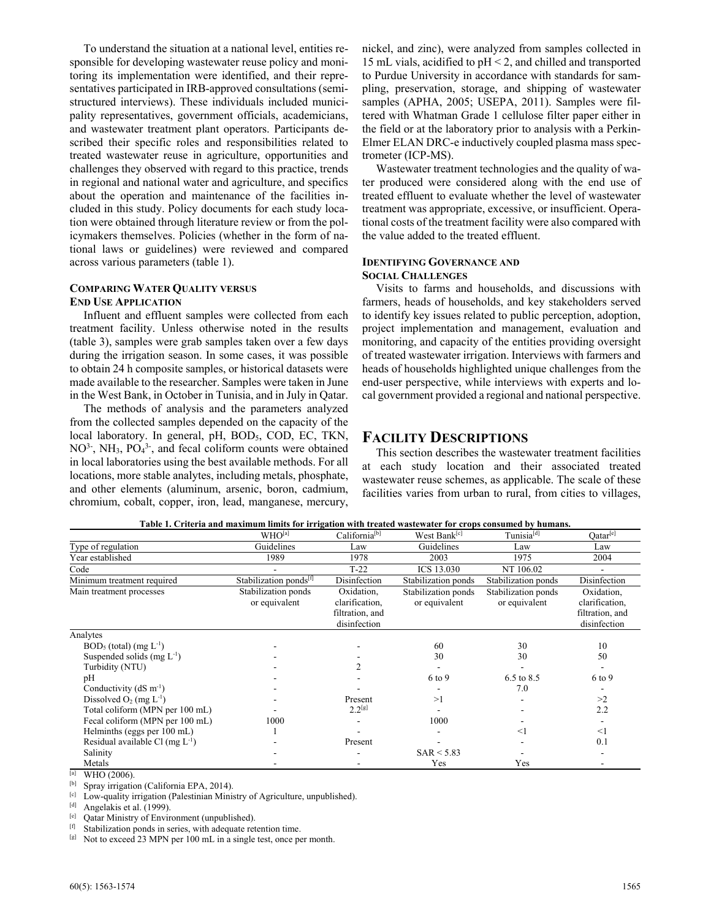To understand the situation at a national level, entities responsible for developing wastewater reuse policy and monitoring its implementation were identified, and their representatives participated in IRB-approved consultations (semistructured interviews). These individuals included municipality representatives, government officials, academicians, and wastewater treatment plant operators. Participants described their specific roles and responsibilities related to treated wastewater reuse in agriculture, opportunities and challenges they observed with regard to this practice, trends in regional and national water and agriculture, and specifics about the operation and maintenance of the facilities included in this study. Policy documents for each study location were obtained through literature review or from the policymakers themselves. Policies (whether in the form of national laws or guidelines) were reviewed and compared across various parameters (table 1).

# **COMPARING WATER QUALITY VERSUS**

### **END USE APPLICATION**

Influent and effluent samples were collected from each treatment facility. Unless otherwise noted in the results (table 3), samples were grab samples taken over a few days during the irrigation season. In some cases, it was possible to obtain 24 h composite samples, or historical datasets were made available to the researcher. Samples were taken in June in the West Bank, in October in Tunisia, and in July in Qatar.

The methods of analysis and the parameters analyzed from the collected samples depended on the capacity of the local laboratory. In general, pH, BOD<sub>5</sub>, COD, EC, TKN,  $NO<sup>3</sup>$ , NH<sub>3</sub>,  $PO<sub>4</sub><sup>3</sup>$ , and fecal coliform counts were obtained in local laboratories using the best available methods. For all locations, more stable analytes, including metals, phosphate, and other elements (aluminum, arsenic, boron, cadmium, chromium, cobalt, copper, iron, lead, manganese, mercury,

nickel, and zinc), were analyzed from samples collected in 15 mL vials, acidified to pH < 2, and chilled and transported to Purdue University in accordance with standards for sampling, preservation, storage, and shipping of wastewater samples (APHA, 2005; USEPA, 2011). Samples were filtered with Whatman Grade 1 cellulose filter paper either in the field or at the laboratory prior to analysis with a Perkin-Elmer ELAN DRC-e inductively coupled plasma mass spectrometer (ICP-MS).

Wastewater treatment technologies and the quality of water produced were considered along with the end use of treated effluent to evaluate whether the level of wastewater treatment was appropriate, excessive, or insufficient. Operational costs of the treatment facility were also compared with the value added to the treated effluent.

#### **IDENTIFYING GOVERNANCE AND SOCIAL CHALLENGES**

Visits to farms and households, and discussions with farmers, heads of households, and key stakeholders served to identify key issues related to public perception, adoption, project implementation and management, evaluation and monitoring, and capacity of the entities providing oversight of treated wastewater irrigation. Interviews with farmers and heads of households highlighted unique challenges from the end-user perspective, while interviews with experts and local government provided a regional and national perspective.

# **FACILITY DESCRIPTIONS**

This section describes the wastewater treatment facilities at each study location and their associated treated wastewater reuse schemes, as applicable. The scale of these facilities varies from urban to rural, from cities to villages,

|                                        | WHO[a]                               | California <sup>[b]</sup>                                       | West Bank <sup>[c]</sup>             | Tunisia <sup>[d]</sup>               | $Qatar^{[e]}$                                                   |
|----------------------------------------|--------------------------------------|-----------------------------------------------------------------|--------------------------------------|--------------------------------------|-----------------------------------------------------------------|
| Type of regulation                     | Guidelines                           | Law                                                             | Guidelines                           | Law                                  | Law                                                             |
| Year established                       | 1989                                 | 1978                                                            | 2003                                 | 1975                                 | 2004                                                            |
| Code                                   |                                      | $T-22$                                                          | <b>ICS 13.030</b>                    | NT 106.02                            | ٠                                                               |
| Minimum treatment required             | Stabilization ponds <sup>[f]</sup>   | Disinfection                                                    | Stabilization ponds                  | Stabilization ponds                  | Disinfection                                                    |
| Main treatment processes               | Stabilization ponds<br>or equivalent | Oxidation,<br>clarification.<br>filtration, and<br>disinfection | Stabilization ponds<br>or equivalent | Stabilization ponds<br>or equivalent | Oxidation.<br>clarification.<br>filtration, and<br>disinfection |
| Analytes                               |                                      |                                                                 |                                      |                                      |                                                                 |
| $BOD5$ (total) (mg $L-1$ )             |                                      |                                                                 | 60                                   | 30                                   | 10                                                              |
| Suspended solids (mg $L^{-1}$ )        |                                      |                                                                 | 30                                   | 30                                   | 50                                                              |
| Turbidity (NTU)                        |                                      |                                                                 |                                      |                                      |                                                                 |
| pH                                     |                                      |                                                                 | 6 to 9                               | 6.5 to 8.5                           | 6 to 9                                                          |
| Conductivity $(dS \, m^{-1})$          |                                      |                                                                 |                                      | 7.0                                  |                                                                 |
| Dissolved $O_2$ (mg $L^{-1}$ )         |                                      | Present                                                         | >1                                   |                                      | >2                                                              |
| Total coliform (MPN per 100 mL)        |                                      | $2.2^{[g]}$                                                     |                                      |                                      | 2.2                                                             |
| Fecal coliform (MPN per 100 mL)        | 1000                                 |                                                                 | 1000                                 |                                      |                                                                 |
| Helminths (eggs per 100 mL)            |                                      |                                                                 |                                      | <1                                   | <1                                                              |
| Residual available $Cl$ (mg $L^{-1}$ ) |                                      | Present                                                         |                                      |                                      | 0.1                                                             |
| Salinity                               |                                      |                                                                 | SAR < 5.83                           |                                      |                                                                 |
| Metals                                 |                                      |                                                                 | Yes                                  | Yes                                  |                                                                 |

**Table 1. Criteria and maximum limits for irrigation with treated wastewater for crops consumed by humans.** 

[a] WHO (2006).

Spray irrigation (California EPA, 2014).

[c] Low-quality irrigation (Palestinian Ministry of Agriculture, unpublished).<br>  $\begin{bmatrix} \text{d} \text{d} & \text{Angle} \\ \text{d} & \text{Order Minitru of Environment (unpublished)} \end{bmatrix}$ 

Qatar Ministry of Environment (unpublished).

Stabilization ponds in series, with adequate retention time.

[g] Not to exceed 23 MPN per 100 mL in a single test, once per month.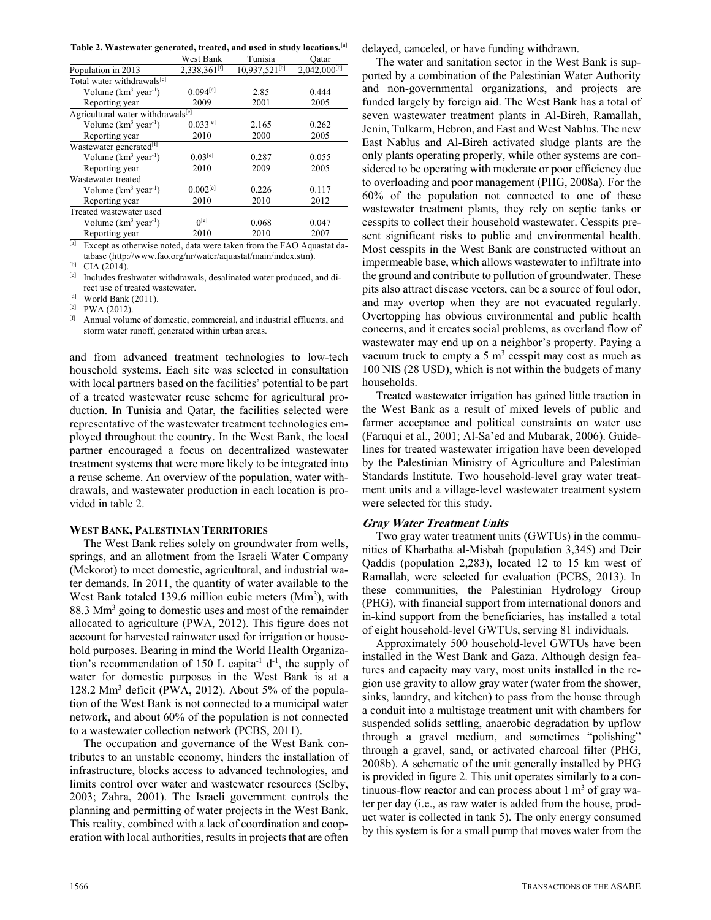**Table 2. Wastewater generated, treated, and used in study locations.[a]**

|                                               | West Bank              | Tunisia            | Oatar             |
|-----------------------------------------------|------------------------|--------------------|-------------------|
| Population in 2013                            | $2.338.361^{[f]}$      | $10.937.521^{[b]}$ | $2,042,000^{[b]}$ |
| Total water withdrawals <sup>[c]</sup>        |                        |                    |                   |
| Volume $(km^3 \text{ year}^{-1})$             | $0.094^{[d]}$          | 2.85               | 0.444             |
| Reporting year                                | 2009                   | 2001               | 2005              |
| Agricultural water withdrawals <sup>[c]</sup> |                        |                    |                   |
| Volume $(km^3 \text{ year}^{-1})$             | $0.033^{[e]}$          | 2.165              | 0.262             |
| Reporting year                                | 2010                   | 2000               | 2005              |
| Wastewater generated <sup>[f]</sup>           |                        |                    |                   |
| Volume $(km^3 \text{ year}^1)$                | $0.03^{[e]}$           | 0.287              | 0.055             |
| Reporting year                                | 2010                   | 2009               | 2005              |
| Wastewater treated                            |                        |                    |                   |
| Volume $(km^3 \text{ year}^{-1})$             | $0.002$ <sup>[e]</sup> | 0.226              | 0.117             |
| Reporting year                                | 2010                   | 2010               | 2012              |
| Treated wastewater used                       |                        |                    |                   |
| Volume $(km^3 \text{ year}^{-1})$             | $0^{[e]}$              | 0.068              | 0.047             |
| Reporting year                                | 2010                   | 2010               | 2007              |
| $\sim$                                        |                        |                    |                   |

Except as otherwise noted, data were taken from the FAO Aquastat database (http://www.fao.org/nr/water/aquastat/main/index.stm). [b] CIA (2014).

 $[e]$  PWA (2012).

[f] Annual volume of domestic, commercial, and industrial effluents, and storm water runoff, generated within urban areas.

and from advanced treatment technologies to low-tech household systems. Each site was selected in consultation with local partners based on the facilities' potential to be part of a treated wastewater reuse scheme for agricultural production. In Tunisia and Qatar, the facilities selected were representative of the wastewater treatment technologies employed throughout the country. In the West Bank, the local partner encouraged a focus on decentralized wastewater treatment systems that were more likely to be integrated into a reuse scheme. An overview of the population, water withdrawals, and wastewater production in each location is provided in table 2.

#### **WEST BANK, PALESTINIAN TERRITORIES**

The West Bank relies solely on groundwater from wells, springs, and an allotment from the Israeli Water Company (Mekorot) to meet domestic, agricultural, and industrial water demands. In 2011, the quantity of water available to the West Bank totaled 139.6 million cubic meters  $(Mm<sup>3</sup>)$ , with 88.3 Mm<sup>3</sup> going to domestic uses and most of the remainder allocated to agriculture (PWA, 2012). This figure does not account for harvested rainwater used for irrigation or household purposes. Bearing in mind the World Health Organization's recommendation of 150 L capita<sup>-1</sup>  $d^{-1}$ , the supply of water for domestic purposes in the West Bank is at a 128.2 Mm3 deficit (PWA, 2012). About 5% of the population of the West Bank is not connected to a municipal water network, and about 60% of the population is not connected to a wastewater collection network (PCBS, 2011).

The occupation and governance of the West Bank contributes to an unstable economy, hinders the installation of infrastructure, blocks access to advanced technologies, and limits control over water and wastewater resources (Selby, 2003; Zahra, 2001). The Israeli government controls the planning and permitting of water projects in the West Bank. This reality, combined with a lack of coordination and cooperation with local authorities, results in projects that are often

delayed, canceled, or have funding withdrawn.

The water and sanitation sector in the West Bank is supported by a combination of the Palestinian Water Authority and non-governmental organizations, and projects are funded largely by foreign aid. The West Bank has a total of seven wastewater treatment plants in Al-Bireh, Ramallah, Jenin, Tulkarm, Hebron, and East and West Nablus. The new East Nablus and Al-Bireh activated sludge plants are the only plants operating properly, while other systems are considered to be operating with moderate or poor efficiency due to overloading and poor management (PHG, 2008a). For the 60% of the population not connected to one of these wastewater treatment plants, they rely on septic tanks or cesspits to collect their household wastewater. Cesspits present significant risks to public and environmental health. Most cesspits in the West Bank are constructed without an impermeable base, which allows wastewater to infiltrate into the ground and contribute to pollution of groundwater. These pits also attract disease vectors, can be a source of foul odor, and may overtop when they are not evacuated regularly. Overtopping has obvious environmental and public health concerns, and it creates social problems, as overland flow of wastewater may end up on a neighbor's property. Paying a vacuum truck to empty a 5  $m<sup>3</sup>$  cesspit may cost as much as 100 NIS (28 USD), which is not within the budgets of many households.

Treated wastewater irrigation has gained little traction in the West Bank as a result of mixed levels of public and farmer acceptance and political constraints on water use (Faruqui et al., 2001; Al-Sa'ed and Mubarak, 2006). Guidelines for treated wastewater irrigation have been developed by the Palestinian Ministry of Agriculture and Palestinian Standards Institute. Two household-level gray water treatment units and a village-level wastewater treatment system were selected for this study.

#### **Gray Water Treatment Units**

Two gray water treatment units (GWTUs) in the communities of Kharbatha al-Misbah (population 3,345) and Deir Qaddis (population 2,283), located 12 to 15 km west of Ramallah, were selected for evaluation (PCBS, 2013). In these communities, the Palestinian Hydrology Group (PHG), with financial support from international donors and in-kind support from the beneficiaries, has installed a total of eight household-level GWTUs, serving 81 individuals.

Approximately 500 household-level GWTUs have been installed in the West Bank and Gaza. Although design features and capacity may vary, most units installed in the region use gravity to allow gray water (water from the shower, sinks, laundry, and kitchen) to pass from the house through a conduit into a multistage treatment unit with chambers for suspended solids settling, anaerobic degradation by upflow through a gravel medium, and sometimes "polishing" through a gravel, sand, or activated charcoal filter (PHG, 2008b). A schematic of the unit generally installed by PHG is provided in figure 2. This unit operates similarly to a continuous-flow reactor and can process about  $1 \text{ m}^3$  of gray water per day (i.e., as raw water is added from the house, product water is collected in tank 5). The only energy consumed by this system is for a small pump that moves water from the

<sup>[</sup>c] Includes freshwater withdrawals, desalinated water produced, and direct use of treated wastewater. [d] World Bank (2011).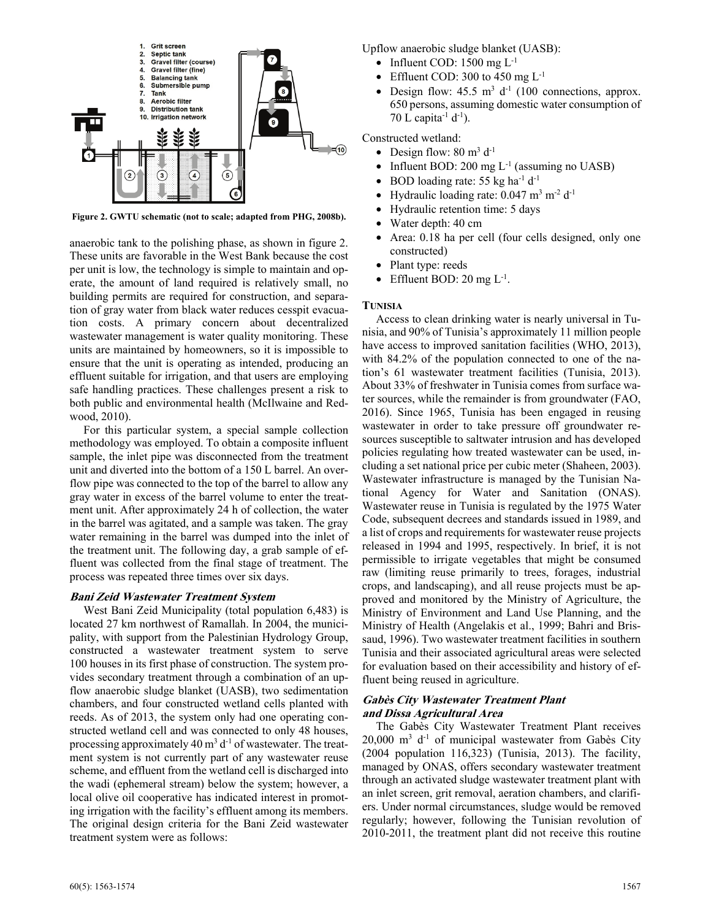

**Figure 2. GWTU schematic (not to scale; adapted from PHG, 2008b).**

anaerobic tank to the polishing phase, as shown in figure 2. These units are favorable in the West Bank because the cost per unit is low, the technology is simple to maintain and operate, the amount of land required is relatively small, no building permits are required for construction, and separation of gray water from black water reduces cesspit evacuation costs. A primary concern about decentralized wastewater management is water quality monitoring. These units are maintained by homeowners, so it is impossible to ensure that the unit is operating as intended, producing an effluent suitable for irrigation, and that users are employing safe handling practices. These challenges present a risk to both public and environmental health (McIlwaine and Redwood, 2010).

For this particular system, a special sample collection methodology was employed. To obtain a composite influent sample, the inlet pipe was disconnected from the treatment unit and diverted into the bottom of a 150 L barrel. An overflow pipe was connected to the top of the barrel to allow any gray water in excess of the barrel volume to enter the treatment unit. After approximately 24 h of collection, the water in the barrel was agitated, and a sample was taken. The gray water remaining in the barrel was dumped into the inlet of the treatment unit. The following day, a grab sample of effluent was collected from the final stage of treatment. The process was repeated three times over six days.

### **Bani Zeid Wastewater Treatment System**

West Bani Zeid Municipality (total population 6,483) is located 27 km northwest of Ramallah. In 2004, the municipality, with support from the Palestinian Hydrology Group, constructed a wastewater treatment system to serve 100 houses in its first phase of construction. The system provides secondary treatment through a combination of an upflow anaerobic sludge blanket (UASB), two sedimentation chambers, and four constructed wetland cells planted with reeds. As of 2013, the system only had one operating constructed wetland cell and was connected to only 48 houses, processing approximately  $40 \text{ m}^3 \text{ d}^{-1}$  of wastewater. The treatment system is not currently part of any wastewater reuse scheme, and effluent from the wetland cell is discharged into the wadi (ephemeral stream) below the system; however, a local olive oil cooperative has indicated interest in promoting irrigation with the facility's effluent among its members. The original design criteria for the Bani Zeid wastewater treatment system were as follows:

Upflow anaerobic sludge blanket (UASB):

- Influent COD:  $1500 \text{ mg } L^{-1}$
- Effluent COD: 300 to 450 mg  $L^{-1}$
- Design flow:  $45.5 \text{ m}^3$  d<sup>-1</sup> (100 connections, approx. 650 persons, assuming domestic water consumption of 70 L capita<sup>-1</sup> d<sup>-1</sup>).

Constructed wetland:

- Design flow:  $80 \text{ m}^3 \text{ d}^{-1}$
- Influent BOD: 200 mg  $L^{-1}$  (assuming no UASB)
- BOD loading rate: 55 kg ha<sup>-1</sup> d<sup>-1</sup>
- Hydraulic loading rate:  $0.047 \text{ m}^3 \text{ m}^{-2} \text{ d}^{-1}$
- Hydraulic retention time: 5 days
- Water depth: 40 cm
- Area: 0.18 ha per cell (four cells designed, only one constructed)
- Plant type: reeds
- Effluent BOD:  $20 \text{ mg } L^{-1}$ .

## **TUNISIA**

Access to clean drinking water is nearly universal in Tunisia, and 90% of Tunisia's approximately 11 million people have access to improved sanitation facilities (WHO, 2013), with 84.2% of the population connected to one of the nation's 61 wastewater treatment facilities (Tunisia, 2013). About 33% of freshwater in Tunisia comes from surface water sources, while the remainder is from groundwater (FAO, 2016). Since 1965, Tunisia has been engaged in reusing wastewater in order to take pressure off groundwater resources susceptible to saltwater intrusion and has developed policies regulating how treated wastewater can be used, including a set national price per cubic meter (Shaheen, 2003). Wastewater infrastructure is managed by the Tunisian National Agency for Water and Sanitation (ONAS). Wastewater reuse in Tunisia is regulated by the 1975 Water Code, subsequent decrees and standards issued in 1989, and a list of crops and requirements for wastewater reuse projects released in 1994 and 1995, respectively. In brief, it is not permissible to irrigate vegetables that might be consumed raw (limiting reuse primarily to trees, forages, industrial crops, and landscaping), and all reuse projects must be approved and monitored by the Ministry of Agriculture, the Ministry of Environment and Land Use Planning, and the Ministry of Health (Angelakis et al., 1999; Bahri and Brissaud, 1996). Two wastewater treatment facilities in southern Tunisia and their associated agricultural areas were selected for evaluation based on their accessibility and history of effluent being reused in agriculture.

## **Gabès City Wastewater Treatment Plant and Dissa Agricultural Area**

The Gabès City Wastewater Treatment Plant receives  $20,000$  m<sup>3</sup> d<sup>-1</sup> of municipal wastewater from Gabès City (2004 population 116,323) (Tunisia, 2013). The facility, managed by ONAS, offers secondary wastewater treatment through an activated sludge wastewater treatment plant with an inlet screen, grit removal, aeration chambers, and clarifiers. Under normal circumstances, sludge would be removed regularly; however, following the Tunisian revolution of 2010-2011, the treatment plant did not receive this routine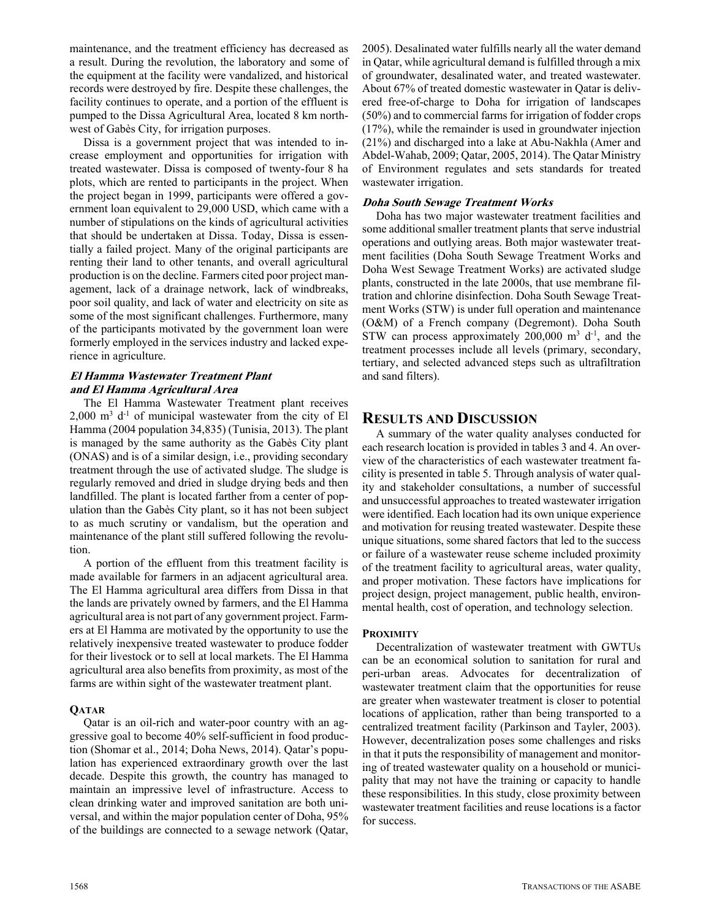maintenance, and the treatment efficiency has decreased as a result. During the revolution, the laboratory and some of the equipment at the facility were vandalized, and historical records were destroyed by fire. Despite these challenges, the facility continues to operate, and a portion of the effluent is pumped to the Dissa Agricultural Area, located 8 km northwest of Gabès City, for irrigation purposes.

Dissa is a government project that was intended to increase employment and opportunities for irrigation with treated wastewater. Dissa is composed of twenty-four 8 ha plots, which are rented to participants in the project. When the project began in 1999, participants were offered a government loan equivalent to 29,000 USD, which came with a number of stipulations on the kinds of agricultural activities that should be undertaken at Dissa. Today, Dissa is essentially a failed project. Many of the original participants are renting their land to other tenants, and overall agricultural production is on the decline. Farmers cited poor project management, lack of a drainage network, lack of windbreaks, poor soil quality, and lack of water and electricity on site as some of the most significant challenges. Furthermore, many of the participants motivated by the government loan were formerly employed in the services industry and lacked experience in agriculture.

## **El Hamma Wastewater Treatment Plant and El Hamma Agricultural Area**

The El Hamma Wastewater Treatment plant receives  $2,000$  m<sup>3</sup> d<sup>-1</sup> of municipal wastewater from the city of El Hamma (2004 population 34,835) (Tunisia, 2013). The plant is managed by the same authority as the Gabès City plant (ONAS) and is of a similar design, i.e., providing secondary treatment through the use of activated sludge. The sludge is regularly removed and dried in sludge drying beds and then landfilled. The plant is located farther from a center of population than the Gabès City plant, so it has not been subject to as much scrutiny or vandalism, but the operation and maintenance of the plant still suffered following the revolution.

A portion of the effluent from this treatment facility is made available for farmers in an adjacent agricultural area. The El Hamma agricultural area differs from Dissa in that the lands are privately owned by farmers, and the El Hamma agricultural area is not part of any government project. Farmers at El Hamma are motivated by the opportunity to use the relatively inexpensive treated wastewater to produce fodder for their livestock or to sell at local markets. The El Hamma agricultural area also benefits from proximity, as most of the farms are within sight of the wastewater treatment plant.

## **QATAR**

Qatar is an oil-rich and water-poor country with an aggressive goal to become 40% self-sufficient in food production (Shomar et al., 2014; Doha News, 2014). Qatar's population has experienced extraordinary growth over the last decade. Despite this growth, the country has managed to maintain an impressive level of infrastructure. Access to clean drinking water and improved sanitation are both universal, and within the major population center of Doha, 95% of the buildings are connected to a sewage network (Qatar,

2005). Desalinated water fulfills nearly all the water demand in Qatar, while agricultural demand is fulfilled through a mix of groundwater, desalinated water, and treated wastewater. About 67% of treated domestic wastewater in Qatar is delivered free-of-charge to Doha for irrigation of landscapes (50%) and to commercial farms for irrigation of fodder crops (17%), while the remainder is used in groundwater injection (21%) and discharged into a lake at Abu-Nakhla (Amer and Abdel-Wahab, 2009; Qatar, 2005, 2014). The Qatar Ministry of Environment regulates and sets standards for treated wastewater irrigation.

## **Doha South Sewage Treatment Works**

Doha has two major wastewater treatment facilities and some additional smaller treatment plants that serve industrial operations and outlying areas. Both major wastewater treatment facilities (Doha South Sewage Treatment Works and Doha West Sewage Treatment Works) are activated sludge plants, constructed in the late 2000s, that use membrane filtration and chlorine disinfection. Doha South Sewage Treatment Works (STW) is under full operation and maintenance (O&M) of a French company (Degremont). Doha South STW can process approximately  $200,000$  m<sup>3</sup> d<sup>-1</sup>, and the treatment processes include all levels (primary, secondary, tertiary, and selected advanced steps such as ultrafiltration and sand filters).

# **RESULTS AND DISCUSSION**

A summary of the water quality analyses conducted for each research location is provided in tables 3 and 4. An overview of the characteristics of each wastewater treatment facility is presented in table 5. Through analysis of water quality and stakeholder consultations, a number of successful and unsuccessful approaches to treated wastewater irrigation were identified. Each location had its own unique experience and motivation for reusing treated wastewater. Despite these unique situations, some shared factors that led to the success or failure of a wastewater reuse scheme included proximity of the treatment facility to agricultural areas, water quality, and proper motivation. These factors have implications for project design, project management, public health, environmental health, cost of operation, and technology selection.

### **PROXIMITY**

Decentralization of wastewater treatment with GWTUs can be an economical solution to sanitation for rural and peri-urban areas. Advocates for decentralization of wastewater treatment claim that the opportunities for reuse are greater when wastewater treatment is closer to potential locations of application, rather than being transported to a centralized treatment facility (Parkinson and Tayler, 2003). However, decentralization poses some challenges and risks in that it puts the responsibility of management and monitoring of treated wastewater quality on a household or municipality that may not have the training or capacity to handle these responsibilities. In this study, close proximity between wastewater treatment facilities and reuse locations is a factor for success.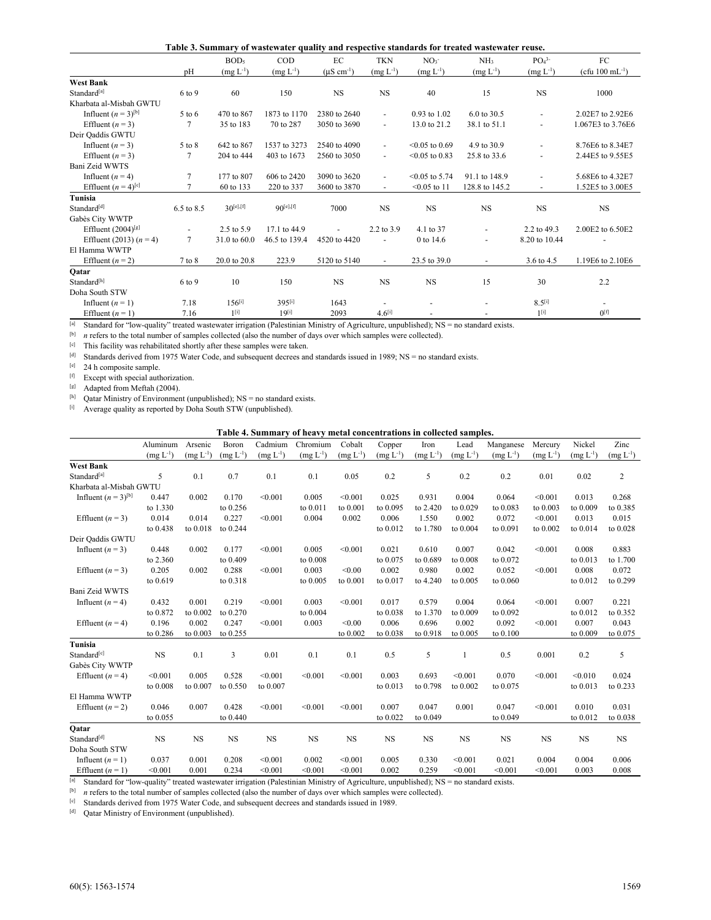| Table 3. Summary of wastewater quality and respective standards for treated wastewater reuse. |  |  |
|-----------------------------------------------------------------------------------------------|--|--|
|-----------------------------------------------------------------------------------------------|--|--|

|                           |                |                  |                |                           |                |                  | Tabic 9. Summary or wastewater quality and respective standards for treated wastewater reuse. |                              |                              |
|---------------------------|----------------|------------------|----------------|---------------------------|----------------|------------------|-----------------------------------------------------------------------------------------------|------------------------------|------------------------------|
|                           |                | BOD <sub>5</sub> | $\rm{COD}$     | EC                        | <b>TKN</b>     | NO <sub>3</sub>  | NH <sub>3</sub>                                                                               | PO <sub>4</sub> <sup>3</sup> | FC                           |
|                           | pH             | $(mg L^{-1})$    | $(mg L^{-1})$  | $(\mu S \text{ cm}^{-1})$ | $(mg L^{-1})$  | $(mg L^{-1})$    | $(mg L^{-1})$                                                                                 | $(mg L^{-1})$                | (cfu $100 \text{ mL}^{-1}$ ) |
| <b>West Bank</b>          |                |                  |                |                           |                |                  |                                                                                               |                              |                              |
| Standard <sup>[a]</sup>   | 6 to 9         | 60               | 150            | <b>NS</b>                 | <b>NS</b>      | 40               | 15                                                                                            | $_{\rm NS}$                  | 1000                         |
| Kharbata al-Misbah GWTU   |                |                  |                |                           |                |                  |                                                                                               |                              |                              |
| Influent $(n=3)^{[b]}$    | $5$ to 6       | 470 to 867       | 1873 to 1170   | 2380 to 2640              | ÷.             | 0.93 to 1.02     | 6.0 to 30.5                                                                                   |                              | 2.02E7 to 2.92E6             |
| Effluent $(n = 3)$        | 7              | 35 to 183        | 70 to 287      | 3050 to 3690              | ٠              | 13.0 to 21.2     | 38.1 to 51.1                                                                                  |                              | 1.067E3 to 3.76E6            |
| Deir Oaddis GWTU          |                |                  |                |                           |                |                  |                                                                                               |                              |                              |
| Influent $(n = 3)$        | 5 to 8         | 642 to 867       | 1537 to 3273   | 2540 to 4090              | ÷.             | $< 0.05$ to 0.69 | 4.9 to 30.9                                                                                   |                              | 8.76E6 to 8.34E7             |
| Effluent $(n = 3)$        |                | 204 to 444       | 403 to 1673    | 2560 to 3050              | ٠              | $< 0.05$ to 0.83 | 25.8 to 33.6                                                                                  |                              | 2.44E5 to 9.55E5             |
| Bani Zeid WWTS            |                |                  |                |                           |                |                  |                                                                                               |                              |                              |
| Influent $(n = 4)$        |                | 177 to 807       | 606 to 2420    | 3090 to 3620              | $\blacksquare$ | $< 0.05$ to 5.74 | 91.1 to 148.9                                                                                 |                              | 5.68E6 to 4.32E7             |
| Effluent $(n = 4)^{[c]}$  |                | 60 to 133        | 220 to 337     | 3600 to 3870              | $\blacksquare$ | $< 0.05$ to 11   | 128.8 to 145.2                                                                                | $\overline{\phantom{a}}$     | 1.52E5 to 3.00E5             |
| Tunisia                   |                |                  |                |                           |                |                  |                                                                                               |                              |                              |
| Standard <sup>[d]</sup>   | 6.5 to 8.5     | $30^{[e],[f]}$   | $90^{[e],[f]}$ | 7000                      | <b>NS</b>      | <b>NS</b>        | <b>NS</b>                                                                                     | <b>NS</b>                    | $_{\rm NS}$                  |
| Gabès City WWTP           |                |                  |                |                           |                |                  |                                                                                               |                              |                              |
| Effluent $(2004)^{[g]}$   |                | 2.5 to 5.9       | 17.1 to 44.9   |                           | 2.2 to 3.9     | 4.1 to 37        |                                                                                               | 2.2 to 49.3                  | 2.00E2 to 6.50E2             |
| Effluent (2013) $(n = 4)$ | $\overline{7}$ | 31.0 to 60.0     | 46.5 to 139.4  | 4520 to 4420              |                | 0 to 14.6        | $\sim$                                                                                        | 8.20 to 10.44                |                              |
| El Hamma WWTP             |                |                  |                |                           |                |                  |                                                                                               |                              |                              |
| Effluent $(n = 2)$        | 7 to 8         | 20.0 to 20.8     | 223.9          | 5120 to 5140              | $\sim$         | 23.5 to 39.0     |                                                                                               | 3.6 to 4.5                   | 1.19E6 to 2.10E6             |
| Qatar                     |                |                  |                |                           |                |                  |                                                                                               |                              |                              |
| Standard <sup>[h]</sup>   | 6 to 9         | 10               | 150            | <b>NS</b>                 | $_{\rm NS}$    | <b>NS</b>        | 15                                                                                            | 30                           | 2.2                          |
| Doha South STW            |                |                  |                |                           |                |                  |                                                                                               |                              |                              |
| Influent $(n = 1)$        | 7.18           | $156^{[i]}$      | 395[i]         | 1643                      |                |                  |                                                                                               | $8.5^{[i]}$                  | $\overline{\phantom{a}}$     |
| Effluent $(n = 1)$        | 7.16           | $1^{[i]}$        | $19^{[i]}$     | 2093                      | $4.6^{[i]}$    |                  |                                                                                               | $1^{[i]}$                    | 0 <sup>[f]</sup>             |

<sup>[a]</sup> Standard for "low-quality" treated wastewater irrigation (Palestinian Ministry of Agriculture, unpublished); NS = no standard exists.<br><sup>[b]</sup> *n* refers to the total number of samples collected (also the number of day

[d] Standards derived from 1975 Water Code, and subsequent decrees and standards issued in 1989; NS = no standard exists.

[e] 24 h composite sample.

[f] Except with special authorization.<br>  $^{[g]}$  Adapted from Meftah (2004).

[g] Adapted from Meftah (2004).<br> $\frac{[h]}{[h]}$  Ostar Ministry of Environment

Qatar Ministry of Environment (unpublished);  $NS =$  no standard exists.

[i] Average quality as reported by Doha South STW (unpublished).

#### **Table 4. Summary of heavy metal concentrations in collected samples.**

|                                 | Aluminum      | Arsenic       | Boron         | Cadmium       | Chromium      | Cobalt        | Copper        | Iron          | Lead       | Manganese     | Mercury       | Nickel        | Zinc           |
|---------------------------------|---------------|---------------|---------------|---------------|---------------|---------------|---------------|---------------|------------|---------------|---------------|---------------|----------------|
|                                 | $(mg L^{-1})$ | $(mg L^{-1})$ | $(mg L^{-1})$ | $(mg L^{-1})$ | $(mg L^{-1})$ | $(mg L^{-1})$ | $(mg L^{-1})$ | $(mg L^{-1})$ | $(mg L-1)$ | $(mg L^{-1})$ | $(mg L^{-1})$ | $(mg L^{-1})$ | $(mg L^{-1})$  |
| <b>West Bank</b>                |               |               |               |               |               |               |               |               |            |               |               |               |                |
| Standard <sup>[a]</sup>         | 5             | 0.1           | 0.7           | 0.1           | 0.1           | 0.05          | 0.2           | 5             | 0.2        | 0.2           | 0.01          | 0.02          | $\overline{c}$ |
| Kharbata al-Misbah GWTU         |               |               |               |               |               |               |               |               |            |               |               |               |                |
| Influent $(n=3)$ <sup>[b]</sup> | 0.447         | 0.002         | 0.170         | < 0.001       | 0.005         | < 0.001       | 0.025         | 0.931         | 0.004      | 0.064         | < 0.001       | 0.013         | 0.268          |
|                                 | to 1.330      |               | to 0.256      |               | to 0.011      | to 0.001      | to 0.095      | to 2.420      | to 0.029   | to 0.083      | to 0.003      | to 0.009      | to 0.385       |
| Effluent $(n = 3)$              | 0.014         | 0.014         | 0.227         | < 0.001       | 0.004         | 0.002         | 0.006         | 1.550         | 0.002      | 0.072         | < 0.001       | 0.013         | 0.015          |
|                                 | to 0.438      | to 0.018      | to 0.244      |               |               |               | to 0.012      | to 1.780      | to 0.004   | to 0.091      | to 0.002      | to 0.014      | to 0.028       |
| Deir Oaddis GWTU                |               |               |               |               |               |               |               |               |            |               |               |               |                |
| Influent $(n=3)$                | 0.448         | 0.002         | 0.177         | < 0.001       | 0.005         | < 0.001       | 0.021         | 0.610         | 0.007      | 0.042         | < 0.001       | 0.008         | 0.883          |
|                                 | to 2.360      |               | to 0.409      |               | to 0.008      |               | to 0.075      | to 0.689      | to 0.008   | to 0.072      |               | to 0.013      | to 1.700       |
| Effluent $(n = 3)$              | 0.205         | 0.002         | 0.288         | < 0.001       | 0.003         | < 0.00        | 0.002         | 0.980         | 0.002      | 0.052         | < 0.001       | 0.008         | 0.072          |
|                                 | to 0.619      |               | to 0.318      |               | to 0.005      | to 0.001      | to 0.017      | to 4.240      | to 0.005   | to 0.060      |               | to 0.012      | to 0.299       |
| Bani Zeid WWTS                  |               |               |               |               |               |               |               |               |            |               |               |               |                |
| Influent $(n = 4)$              | 0.432         | 0.001         | 0.219         | < 0.001       | 0.003         | < 0.001       | 0.017         | 0.579         | 0.004      | 0.064         | < 0.001       | 0.007         | 0.221          |
|                                 | to 0.872      | to 0.002      | to 0.270      |               | to 0.004      |               | to 0.038      | to 1.370      | to 0.009   | to 0.092      |               | to 0.012      | to 0.352       |
| Effluent $(n = 4)$              | 0.196         | 0.002         | 0.247         | < 0.001       | 0.003         | < 0.00        | 0.006         | 0.696         | 0.002      | 0.092         | < 0.001       | 0.007         | 0.043          |
|                                 | to 0.286      | to 0.003      | to 0.255      |               |               | to 0.002      | to 0.038      | to 0.918      | to 0.005   | to 0.100      |               | to 0.009      | to 0.075       |
| Tunisia                         |               |               |               |               |               |               |               |               |            |               |               |               |                |
| Standard <sup>[c]</sup>         | <b>NS</b>     | 0.1           | 3             | 0.01          | 0.1           | 0.1           | 0.5           | 5             | 1          | 0.5           | 0.001         | 0.2           | 5              |
| Gabès City WWTP                 |               |               |               |               |               |               |               |               |            |               |               |               |                |
| Effluent $(n = 4)$              | < 0.001       | 0.005         | 0.528         | < 0.001       | < 0.001       | < 0.001       | 0.003         | 0.693         | < 0.001    | 0.070         | < 0.001       | < 0.010       | 0.024          |
|                                 | to 0.008      | to 0.007      | to $0.550$    | to 0.007      |               |               | to 0.013      | to 0.798      | to 0.002   | to 0.075      |               | to 0.013      | to 0.233       |
| El Hamma WWTP                   |               |               |               |               |               |               |               |               |            |               |               |               |                |
| Effluent $(n = 2)$              | 0.046         | 0.007         | 0.428         | < 0.001       | < 0.001       | < 0.001       | 0.007         | 0.047         | 0.001      | 0.047         | < 0.001       | 0.010         | 0.031          |
|                                 | to 0.055      |               | to 0.440      |               |               |               | to 0.022      | to 0.049      |            | to 0.049      |               | to 0.012      | to 0.038       |
| Qatar                           |               |               |               |               |               |               |               |               |            |               |               |               |                |
| Standard <sup>[d]</sup>         | <b>NS</b>     | <b>NS</b>     | <b>NS</b>     | <b>NS</b>     | <b>NS</b>     | <b>NS</b>     | <b>NS</b>     | <b>NS</b>     | <b>NS</b>  | <b>NS</b>     | <b>NS</b>     | <b>NS</b>     | <b>NS</b>      |
| Doha South STW                  |               |               |               |               |               |               |               |               |            |               |               |               |                |
| Influent $(n = 1)$              | 0.037         | 0.001         | 0.208         | < 0.001       | 0.002         | < 0.001       | 0.005         | 0.330         | < 0.001    | 0.021         | 0.004         | 0.004         | 0.006          |
| Effluent $(n = 1)$              | < 0.001       | 0.001         | 0.234         | < 0.001       | < 0.001       | < 0.001       | 0.002         | 0.259         | < 0.001    | < 0.001       | < 0.001       | 0.003         | 0.008          |

<sup>[a]</sup> Standard for "low-quality" treated wastewater irrigation (Palestinian Ministry of Agriculture, unpublished); NS = no standard exists.<br><sup>[b]</sup> *n* refers to the total number of samples collected (also the number of day

[d] Qatar Ministry of Environment (unpublished).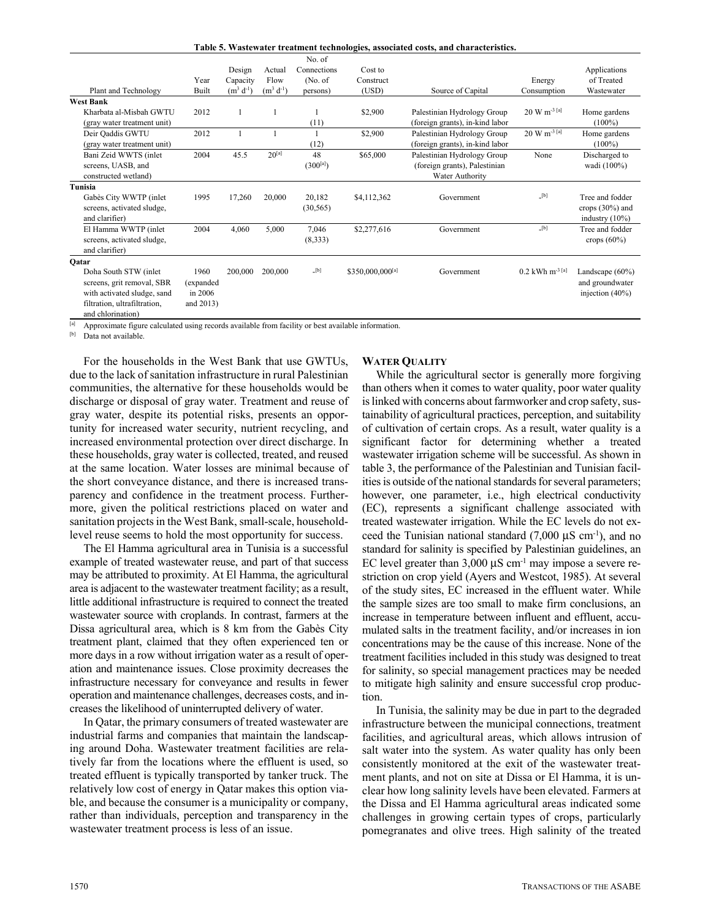**Table 5. Wastewater treatment technologies, associated costs, and characteristics.** 

|                              |            |                |                | No. of        |                              |                                 |                               |                    |
|------------------------------|------------|----------------|----------------|---------------|------------------------------|---------------------------------|-------------------------------|--------------------|
|                              |            | Design         | Actual         | Connections   | Cost to                      |                                 |                               | Applications       |
|                              | Year       | Capacity       | Flow           | (No. of)      | Construct                    |                                 | Energy                        | of Treated         |
| Plant and Technology         | Built      | $(m^3 d^{-1})$ | $(m^3 d^{-1})$ | persons)      | (USD)                        | Source of Capital               | Consumption                   | Wastewater         |
| <b>West Bank</b>             |            |                |                |               |                              |                                 |                               |                    |
| Kharbata al-Misbah GWTU      | 2012       |                |                |               | \$2,900                      | Palestinian Hydrology Group     | $20 \text{ W m}^{3}$ [a]      | Home gardens       |
| (gray water treatment unit)  |            |                |                | (11)          |                              | (foreign grants), in-kind labor |                               | $(100\%)$          |
| Deir Oaddis GWTU             | 2012       |                |                |               | \$2,900                      | Palestinian Hydrology Group     | 20 W m <sup>-3 [a]</sup>      | Home gardens       |
| (gray water treatment unit)  |            |                |                | (12)          |                              | (foreign grants), in-kind labor |                               | $(100\%)$          |
| Bani Zeid WWTS (inlet        | 2004       | 45.5           | $20^{[a]}$     | 48            | \$65,000                     | Palestinian Hydrology Group     | None                          | Discharged to      |
| screens, UASB, and           |            |                |                | $(300^{[a]})$ |                              | (foreign grants), Palestinian   |                               | wadi (100%)        |
| constructed wetland)         |            |                |                |               |                              | Water Authority                 |                               |                    |
| Tunisia                      |            |                |                |               |                              |                                 |                               |                    |
| Gabès City WWTP (inlet       | 1995       | 17,260         | 20,000         | 20,182        | \$4,112,362                  | Government                      | [b]                           | Tree and fodder    |
| screens, activated sludge,   |            |                |                | (30, 565)     |                              |                                 |                               | crops $(30\%)$ and |
| and clarifier)               |            |                |                |               |                              |                                 |                               | industry $(10\%)$  |
| El Hamma WWTP (inlet         | 2004       | 4,060          | 5,000          | 7,046         | \$2,277,616                  | Government                      | [b]                           | Tree and fodder    |
| screens, activated sludge,   |            |                |                | (8,333)       |                              |                                 |                               | crops $(60\%)$     |
| and clarifier)               |            |                |                |               |                              |                                 |                               |                    |
| Oatar                        |            |                |                |               |                              |                                 |                               |                    |
| Doha South STW (inlet        | 1960       | 200,000        | 200,000        | [b]           | \$350,000,000 <sup>[a]</sup> | Government                      | $0.2$ kWh m <sup>-3 [a]</sup> | Landscape $(60\%)$ |
| screens, grit removal, SBR   | (expanded) |                |                |               |                              |                                 |                               | and groundwater    |
| with activated sludge, sand  | in 2006    |                |                |               |                              |                                 |                               | injection $(40\%)$ |
| filtration, ultrafiltration, | and 2013)  |                |                |               |                              |                                 |                               |                    |
| and chlorination)            |            |                |                |               |                              |                                 |                               |                    |

Approximate figure calculated using records available from facility or best available information.

Data not available.

For the households in the West Bank that use GWTUs, due to the lack of sanitation infrastructure in rural Palestinian communities, the alternative for these households would be discharge or disposal of gray water. Treatment and reuse of gray water, despite its potential risks, presents an opportunity for increased water security, nutrient recycling, and increased environmental protection over direct discharge. In these households, gray water is collected, treated, and reused at the same location. Water losses are minimal because of the short conveyance distance, and there is increased transparency and confidence in the treatment process. Furthermore, given the political restrictions placed on water and sanitation projects in the West Bank, small-scale, householdlevel reuse seems to hold the most opportunity for success.

The El Hamma agricultural area in Tunisia is a successful example of treated wastewater reuse, and part of that success may be attributed to proximity. At El Hamma, the agricultural area is adjacent to the wastewater treatment facility; as a result, little additional infrastructure is required to connect the treated wastewater source with croplands. In contrast, farmers at the Dissa agricultural area, which is 8 km from the Gabès City treatment plant, claimed that they often experienced ten or more days in a row without irrigation water as a result of operation and maintenance issues. Close proximity decreases the infrastructure necessary for conveyance and results in fewer operation and maintenance challenges, decreases costs, and increases the likelihood of uninterrupted delivery of water.

In Qatar, the primary consumers of treated wastewater are industrial farms and companies that maintain the landscaping around Doha. Wastewater treatment facilities are relatively far from the locations where the effluent is used, so treated effluent is typically transported by tanker truck. The relatively low cost of energy in Qatar makes this option viable, and because the consumer is a municipality or company, rather than individuals, perception and transparency in the wastewater treatment process is less of an issue.

### **WATER QUALITY**

While the agricultural sector is generally more forgiving than others when it comes to water quality, poor water quality is linked with concerns about farmworker and crop safety, sustainability of agricultural practices, perception, and suitability of cultivation of certain crops. As a result, water quality is a significant factor for determining whether a treated wastewater irrigation scheme will be successful. As shown in table 3, the performance of the Palestinian and Tunisian facilities is outside of the national standards for several parameters; however, one parameter, i.e., high electrical conductivity (EC), represents a significant challenge associated with treated wastewater irrigation. While the EC levels do not exceed the Tunisian national standard  $(7,000 \mu S \text{ cm}^{-1})$ , and no standard for salinity is specified by Palestinian guidelines, an EC level greater than  $3,000 \mu S$  cm<sup>-1</sup> may impose a severe restriction on crop yield (Ayers and Westcot, 1985). At several of the study sites, EC increased in the effluent water. While the sample sizes are too small to make firm conclusions, an increase in temperature between influent and effluent, accumulated salts in the treatment facility, and/or increases in ion concentrations may be the cause of this increase. None of the treatment facilities included in this study was designed to treat for salinity, so special management practices may be needed to mitigate high salinity and ensure successful crop production.

In Tunisia, the salinity may be due in part to the degraded infrastructure between the municipal connections, treatment facilities, and agricultural areas, which allows intrusion of salt water into the system. As water quality has only been consistently monitored at the exit of the wastewater treatment plants, and not on site at Dissa or El Hamma, it is unclear how long salinity levels have been elevated. Farmers at the Dissa and El Hamma agricultural areas indicated some challenges in growing certain types of crops, particularly pomegranates and olive trees. High salinity of the treated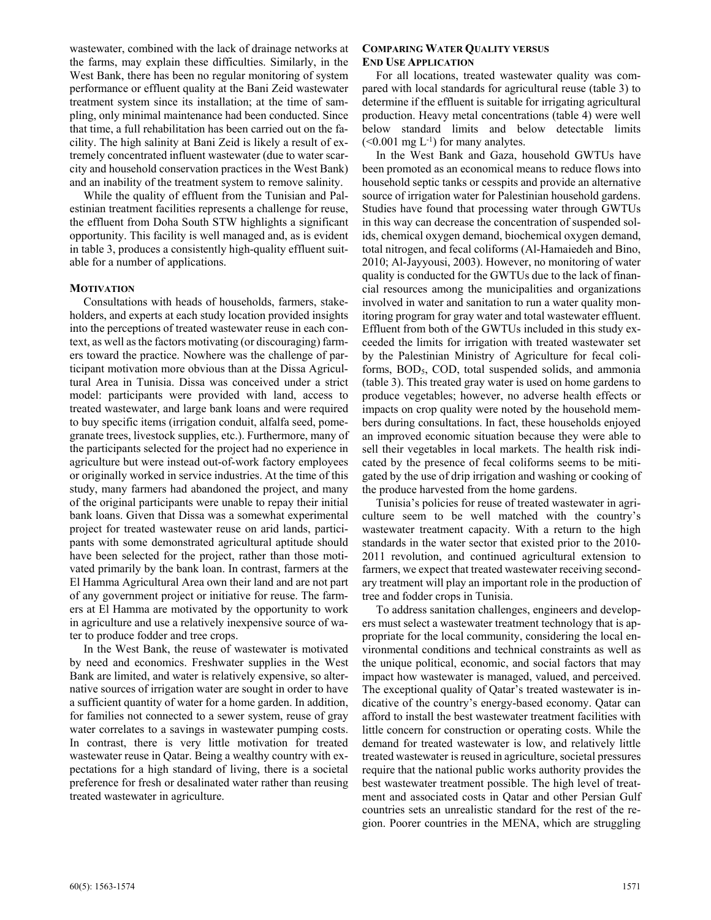wastewater, combined with the lack of drainage networks at the farms, may explain these difficulties. Similarly, in the West Bank, there has been no regular monitoring of system performance or effluent quality at the Bani Zeid wastewater treatment system since its installation; at the time of sampling, only minimal maintenance had been conducted. Since that time, a full rehabilitation has been carried out on the facility. The high salinity at Bani Zeid is likely a result of extremely concentrated influent wastewater (due to water scarcity and household conservation practices in the West Bank) and an inability of the treatment system to remove salinity.

While the quality of effluent from the Tunisian and Palestinian treatment facilities represents a challenge for reuse, the effluent from Doha South STW highlights a significant opportunity. This facility is well managed and, as is evident in table 3, produces a consistently high-quality effluent suitable for a number of applications.

#### **MOTIVATION**

Consultations with heads of households, farmers, stakeholders, and experts at each study location provided insights into the perceptions of treated wastewater reuse in each context, as well as the factors motivating (or discouraging) farmers toward the practice. Nowhere was the challenge of participant motivation more obvious than at the Dissa Agricultural Area in Tunisia. Dissa was conceived under a strict model: participants were provided with land, access to treated wastewater, and large bank loans and were required to buy specific items (irrigation conduit, alfalfa seed, pomegranate trees, livestock supplies, etc.). Furthermore, many of the participants selected for the project had no experience in agriculture but were instead out-of-work factory employees or originally worked in service industries. At the time of this study, many farmers had abandoned the project, and many of the original participants were unable to repay their initial bank loans. Given that Dissa was a somewhat experimental project for treated wastewater reuse on arid lands, participants with some demonstrated agricultural aptitude should have been selected for the project, rather than those motivated primarily by the bank loan. In contrast, farmers at the El Hamma Agricultural Area own their land and are not part of any government project or initiative for reuse. The farmers at El Hamma are motivated by the opportunity to work in agriculture and use a relatively inexpensive source of water to produce fodder and tree crops.

In the West Bank, the reuse of wastewater is motivated by need and economics. Freshwater supplies in the West Bank are limited, and water is relatively expensive, so alternative sources of irrigation water are sought in order to have a sufficient quantity of water for a home garden. In addition, for families not connected to a sewer system, reuse of gray water correlates to a savings in wastewater pumping costs. In contrast, there is very little motivation for treated wastewater reuse in Qatar. Being a wealthy country with expectations for a high standard of living, there is a societal preference for fresh or desalinated water rather than reusing treated wastewater in agriculture.

#### **COMPARING WATER QUALITY VERSUS END USE APPLICATION**

For all locations, treated wastewater quality was compared with local standards for agricultural reuse (table 3) to determine if the effluent is suitable for irrigating agricultural production. Heavy metal concentrations (table 4) were well below standard limits and below detectable limits  $(<0.001$  mg L<sup>-1</sup>) for many analytes.

In the West Bank and Gaza, household GWTUs have been promoted as an economical means to reduce flows into household septic tanks or cesspits and provide an alternative source of irrigation water for Palestinian household gardens. Studies have found that processing water through GWTUs in this way can decrease the concentration of suspended solids, chemical oxygen demand, biochemical oxygen demand, total nitrogen, and fecal coliforms (Al-Hamaiedeh and Bino, 2010; Al-Jayyousi, 2003). However, no monitoring of water quality is conducted for the GWTUs due to the lack of financial resources among the municipalities and organizations involved in water and sanitation to run a water quality monitoring program for gray water and total wastewater effluent. Effluent from both of the GWTUs included in this study exceeded the limits for irrigation with treated wastewater set by the Palestinian Ministry of Agriculture for fecal coliforms, BOD<sub>5</sub>, COD, total suspended solids, and ammonia (table 3). This treated gray water is used on home gardens to produce vegetables; however, no adverse health effects or impacts on crop quality were noted by the household members during consultations. In fact, these households enjoyed an improved economic situation because they were able to sell their vegetables in local markets. The health risk indicated by the presence of fecal coliforms seems to be mitigated by the use of drip irrigation and washing or cooking of the produce harvested from the home gardens.

Tunisia's policies for reuse of treated wastewater in agriculture seem to be well matched with the country's wastewater treatment capacity. With a return to the high standards in the water sector that existed prior to the 2010- 2011 revolution, and continued agricultural extension to farmers, we expect that treated wastewater receiving secondary treatment will play an important role in the production of tree and fodder crops in Tunisia.

To address sanitation challenges, engineers and developers must select a wastewater treatment technology that is appropriate for the local community, considering the local environmental conditions and technical constraints as well as the unique political, economic, and social factors that may impact how wastewater is managed, valued, and perceived. The exceptional quality of Qatar's treated wastewater is indicative of the country's energy-based economy. Qatar can afford to install the best wastewater treatment facilities with little concern for construction or operating costs. While the demand for treated wastewater is low, and relatively little treated wastewater is reused in agriculture, societal pressures require that the national public works authority provides the best wastewater treatment possible. The high level of treatment and associated costs in Qatar and other Persian Gulf countries sets an unrealistic standard for the rest of the region. Poorer countries in the MENA, which are struggling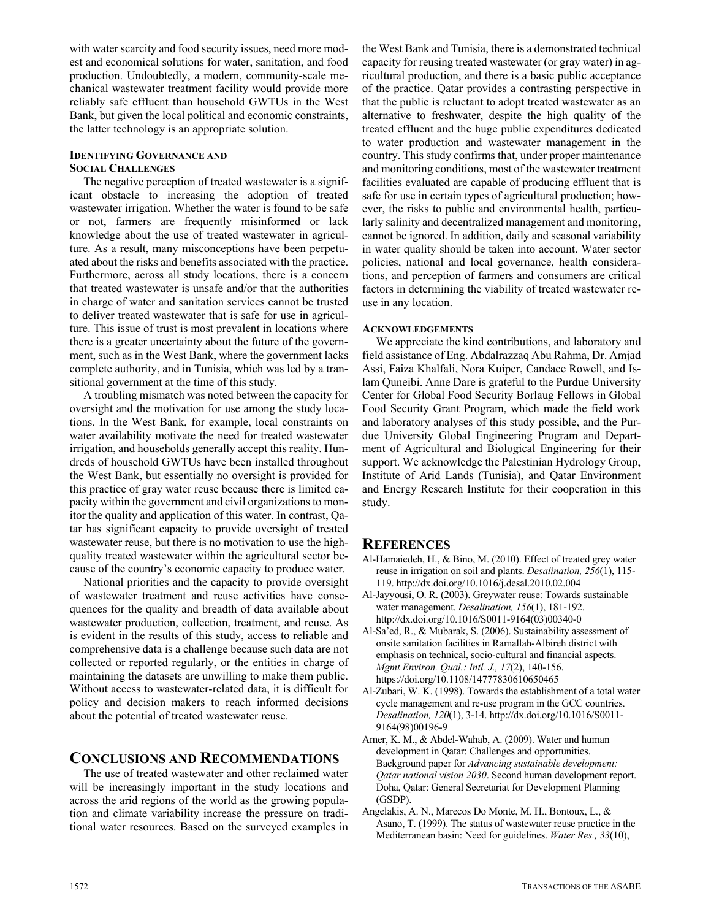with water scarcity and food security issues, need more modest and economical solutions for water, sanitation, and food production. Undoubtedly, a modern, community-scale mechanical wastewater treatment facility would provide more reliably safe effluent than household GWTUs in the West Bank, but given the local political and economic constraints, the latter technology is an appropriate solution.

# **IDENTIFYING GOVERNANCE AND**

## **SOCIAL CHALLENGES**

The negative perception of treated wastewater is a significant obstacle to increasing the adoption of treated wastewater irrigation. Whether the water is found to be safe or not, farmers are frequently misinformed or lack knowledge about the use of treated wastewater in agriculture. As a result, many misconceptions have been perpetuated about the risks and benefits associated with the practice. Furthermore, across all study locations, there is a concern that treated wastewater is unsafe and/or that the authorities in charge of water and sanitation services cannot be trusted to deliver treated wastewater that is safe for use in agriculture. This issue of trust is most prevalent in locations where there is a greater uncertainty about the future of the government, such as in the West Bank, where the government lacks complete authority, and in Tunisia, which was led by a transitional government at the time of this study.

A troubling mismatch was noted between the capacity for oversight and the motivation for use among the study locations. In the West Bank, for example, local constraints on water availability motivate the need for treated wastewater irrigation, and households generally accept this reality. Hundreds of household GWTUs have been installed throughout the West Bank, but essentially no oversight is provided for this practice of gray water reuse because there is limited capacity within the government and civil organizations to monitor the quality and application of this water. In contrast, Qatar has significant capacity to provide oversight of treated wastewater reuse, but there is no motivation to use the highquality treated wastewater within the agricultural sector because of the country's economic capacity to produce water.

National priorities and the capacity to provide oversight of wastewater treatment and reuse activities have consequences for the quality and breadth of data available about wastewater production, collection, treatment, and reuse. As is evident in the results of this study, access to reliable and comprehensive data is a challenge because such data are not collected or reported regularly, or the entities in charge of maintaining the datasets are unwilling to make them public. Without access to wastewater-related data, it is difficult for policy and decision makers to reach informed decisions about the potential of treated wastewater reuse.

## **CONCLUSIONS AND RECOMMENDATIONS**

The use of treated wastewater and other reclaimed water will be increasingly important in the study locations and across the arid regions of the world as the growing population and climate variability increase the pressure on traditional water resources. Based on the surveyed examples in

the West Bank and Tunisia, there is a demonstrated technical capacity for reusing treated wastewater (or gray water) in agricultural production, and there is a basic public acceptance of the practice. Qatar provides a contrasting perspective in that the public is reluctant to adopt treated wastewater as an alternative to freshwater, despite the high quality of the treated effluent and the huge public expenditures dedicated to water production and wastewater management in the country. This study confirms that, under proper maintenance and monitoring conditions, most of the wastewater treatment facilities evaluated are capable of producing effluent that is safe for use in certain types of agricultural production; however, the risks to public and environmental health, particularly salinity and decentralized management and monitoring, cannot be ignored. In addition, daily and seasonal variability in water quality should be taken into account. Water sector policies, national and local governance, health considerations, and perception of farmers and consumers are critical factors in determining the viability of treated wastewater reuse in any location.

## **ACKNOWLEDGEMENTS**

We appreciate the kind contributions, and laboratory and field assistance of Eng. Abdalrazzaq Abu Rahma, Dr. Amjad Assi, Faiza Khalfali, Nora Kuiper, Candace Rowell, and Islam Quneibi. Anne Dare is grateful to the Purdue University Center for Global Food Security Borlaug Fellows in Global Food Security Grant Program, which made the field work and laboratory analyses of this study possible, and the Purdue University Global Engineering Program and Department of Agricultural and Biological Engineering for their support. We acknowledge the Palestinian Hydrology Group, Institute of Arid Lands (Tunisia), and Qatar Environment and Energy Research Institute for their cooperation in this study.

# **REFERENCES**

- Al-Hamaiedeh, H., & Bino, M. (2010). Effect of treated grey water reuse in irrigation on soil and plants. *Desalination, 256*(1), 115- 119. http://dx.doi.org/10.1016/j.desal.2010.02.004
- Al-Jayyousi, O. R. (2003). Greywater reuse: Towards sustainable water management. *Desalination, 156*(1), 181-192. http://dx.doi.org/10.1016/S0011-9164(03)00340-0
- Al-Sa'ed, R., & Mubarak, S. (2006). Sustainability assessment of onsite sanitation facilities in Ramallah-Albireh district with emphasis on technical, socio-cultural and financial aspects. *Mgmt Environ. Qual.: Intl. J., 17*(2), 140-156. https://doi.org/10.1108/14777830610650465
- Al-Zubari, W. K. (1998). Towards the establishment of a total water cycle management and re-use program in the GCC countries. *Desalination, 120*(1), 3-14. http://dx.doi.org/10.1016/S0011- 9164(98)00196-9
- Amer, K. M., & Abdel-Wahab, A. (2009). Water and human development in Qatar: Challenges and opportunities. Background paper for *Advancing sustainable development: Qatar national vision 2030*. Second human development report. Doha, Qatar: General Secretariat for Development Planning (GSDP).
- Angelakis, A. N., Marecos Do Monte, M. H., Bontoux, L., & Asano, T. (1999). The status of wastewater reuse practice in the Mediterranean basin: Need for guidelines. *Water Res., 33*(10),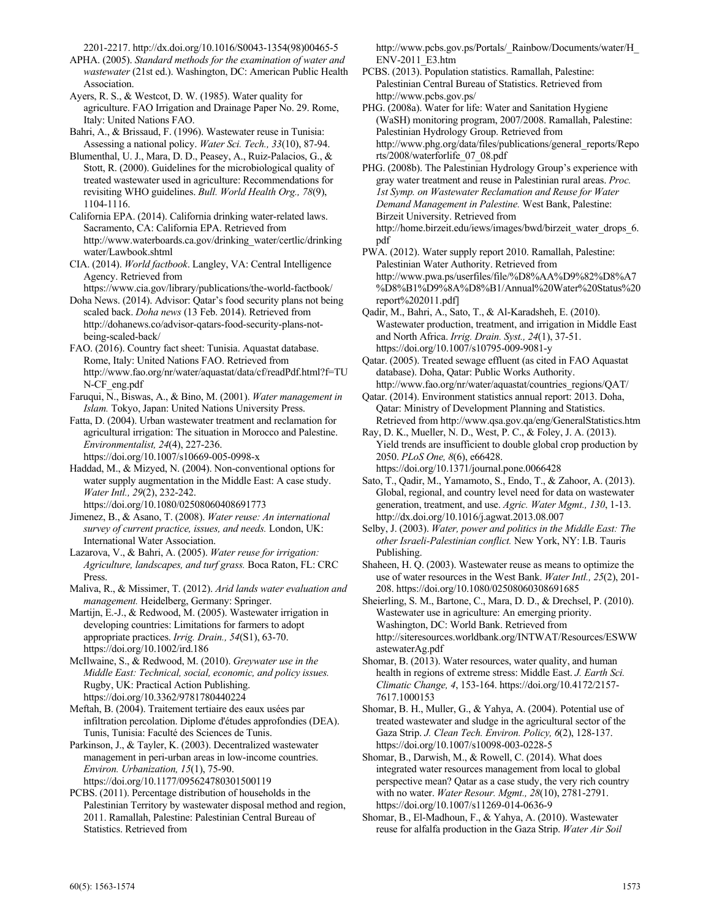2201-2217. http://dx.doi.org/10.1016/S0043-1354(98)00465-5

APHA. (2005). *Standard methods for the examination of water and wastewater* (21st ed.). Washington, DC: American Public Health Association.

Ayers, R. S., & Westcot, D. W. (1985). Water quality for agriculture. FAO Irrigation and Drainage Paper No. 29. Rome, Italy: United Nations FAO.

Bahri, A., & Brissaud, F. (1996). Wastewater reuse in Tunisia: Assessing a national policy. *Water Sci. Tech., 33*(10), 87-94.

Blumenthal, U. J., Mara, D. D., Peasey, A., Ruiz-Palacios, G., & Stott, R. (2000). Guidelines for the microbiological quality of treated wastewater used in agriculture: Recommendations for revisiting WHO guidelines. *Bull. World Health Org., 78*(9), 1104-1116.

California EPA. (2014). California drinking water-related laws. Sacramento, CA: California EPA. Retrieved from http://www.waterboards.ca.gov/drinking\_water/certlic/drinking water/Lawbook.shtml

CIA. (2014). *World factbook*. Langley, VA: Central Intelligence Agency. Retrieved from

https://www.cia.gov/library/publications/the-world-factbook/ Doha News. (2014). Advisor: Qatar's food security plans not being

scaled back. *Doha news* (13 Feb. 2014). Retrieved from http://dohanews.co/advisor-qatars-food-security-plans-notbeing-scaled-back/

FAO. (2016). Country fact sheet: Tunisia. Aquastat database. Rome, Italy: United Nations FAO. Retrieved from http://www.fao.org/nr/water/aquastat/data/cf/readPdf.html?f=TU N-CF\_eng.pdf

Faruqui, N., Biswas, A., & Bino, M. (2001). *Water management in Islam.* Tokyo, Japan: United Nations University Press.

Fatta, D. (2004). Urban wastewater treatment and reclamation for agricultural irrigation: The situation in Morocco and Palestine. *Environmentalist, 24*(4), 227-236. https://doi.org/10.1007/s10669-005-0998-x

Haddad, M., & Mizyed, N. (2004). Non-conventional options for water supply augmentation in the Middle East: A case study. *Water Intl., 29*(2), 232-242. https://doi.org/10.1080/02508060408691773

Jimenez, B., & Asano, T. (2008). *Water reuse: An international survey of current practice, issues, and needs.* London, UK: International Water Association.

Lazarova, V., & Bahri, A. (2005). *Water reuse for irrigation: Agriculture, landscapes, and turf grass.* Boca Raton, FL: CRC Press.

Maliva, R., & Missimer, T. (2012). *Arid lands water evaluation and management.* Heidelberg, Germany: Springer.

Martijn, E.-J., & Redwood, M. (2005). Wastewater irrigation in developing countries: Limitations for farmers to adopt appropriate practices. *Irrig. Drain., 54*(S1), 63-70. https://doi.org/10.1002/ird.186

McIlwaine, S., & Redwood, M. (2010). *Greywater use in the Middle East: Technical, social, economic, and policy issues.* Rugby, UK: Practical Action Publishing. https://doi.org/10.3362/9781780440224

Meftah, B. (2004). Traitement tertiaire des eaux usées par infiltration percolation. Diplome d'études approfondies (DEA). Tunis, Tunisia: Faculté des Sciences de Tunis.

Parkinson, J., & Tayler, K. (2003). Decentralized wastewater management in peri-urban areas in low-income countries. *Environ. Urbanization, 15*(1), 75-90. https://doi.org/10.1177/095624780301500119

PCBS. (2011). Percentage distribution of households in the Palestinian Territory by wastewater disposal method and region, 2011. Ramallah, Palestine: Palestinian Central Bureau of Statistics. Retrieved from

http://www.pcbs.gov.ps/Portals/\_Rainbow/Documents/water/H\_ ENV-2011\_E3.htm

PCBS. (2013). Population statistics. Ramallah, Palestine: Palestinian Central Bureau of Statistics. Retrieved from http://www.pcbs.gov.ps/

PHG. (2008a). Water for life: Water and Sanitation Hygiene (WaSH) monitoring program, 2007/2008. Ramallah, Palestine: Palestinian Hydrology Group. Retrieved from http://www.phg.org/data/files/publications/general\_reports/Repo rts/2008/waterforlife\_07\_08.pdf

PHG. (2008b). The Palestinian Hydrology Group's experience with gray water treatment and reuse in Palestinian rural areas. *Proc. 1st Symp. on Wastewater Reclamation and Reuse for Water Demand Management in Palestine.* West Bank, Palestine: Birzeit University. Retrieved from http://home.birzeit.edu/iews/images/bwd/birzeit\_water\_drops\_6. pdf

PWA. (2012). Water supply report 2010. Ramallah, Palestine: Palestinian Water Authority. Retrieved from http://www.pwa.ps/userfiles/file/%D8%AA%D9%82%D8%A7 %D8%B1%D9%8A%D8%B1/Annual%20Water%20Status%20 report%202011.pdf]

Qadir, M., Bahri, A., Sato, T., & Al-Karadsheh, E. (2010). Wastewater production, treatment, and irrigation in Middle East and North Africa. *Irrig. Drain. Syst., 24*(1), 37-51. https://doi.org/10.1007/s10795-009-9081-y

Qatar. (2005). Treated sewage effluent (as cited in FAO Aquastat database). Doha, Qatar: Public Works Authority. http://www.fao.org/nr/water/aquastat/countries\_regions/QAT/

Qatar. (2014). Environment statistics annual report: 2013. Doha, Qatar: Ministry of Development Planning and Statistics. Retrieved from http://www.qsa.gov.qa/eng/GeneralStatistics.htm

Ray, D. K., Mueller, N. D., West, P. C., & Foley, J. A. (2013). Yield trends are insufficient to double global crop production by 2050. *PLoS One, 8*(6), e66428.

https://doi.org/10.1371/journal.pone.0066428

Sato, T., Qadir, M., Yamamoto, S., Endo, T., & Zahoor, A. (2013). Global, regional, and country level need for data on wastewater generation, treatment, and use. *Agric. Water Mgmt., 130*, 1-13. http://dx.doi.org/10.1016/j.agwat.2013.08.007

Selby, J. (2003). *Water, power and politics in the Middle East: The other Israeli-Palestinian conflict.* New York, NY: I.B. Tauris Publishing.

Shaheen, H. Q. (2003). Wastewater reuse as means to optimize the use of water resources in the West Bank. *Water Intl., 25*(2), 201- 208. https://doi.org/10.1080/02508060308691685

Sheierling, S. M., Bartone, C., Mara, D. D., & Drechsel, P. (2010). Wastewater use in agriculture: An emerging priority. Washington, DC: World Bank. Retrieved from http://siteresources.worldbank.org/INTWAT/Resources/ESWW astewaterAg.pdf

Shomar, B. (2013). Water resources, water quality, and human health in regions of extreme stress: Middle East. *J. Earth Sci. Climatic Change, 4*, 153-164. https://doi.org/10.4172/2157- 7617.1000153

Shomar, B. H., Muller, G., & Yahya, A. (2004). Potential use of treated wastewater and sludge in the agricultural sector of the Gaza Strip. *J. Clean Tech. Environ. Policy, 6*(2), 128-137. https://doi.org/10.1007/s10098-003-0228-5

Shomar, B., Darwish, M., & Rowell, C. (2014). What does integrated water resources management from local to global perspective mean? Qatar as a case study, the very rich country with no water. *Water Resour. Mgmt., 28*(10), 2781-2791. https://doi.org/10.1007/s11269-014-0636-9

Shomar, B., El-Madhoun, F., & Yahya, A. (2010). Wastewater reuse for alfalfa production in the Gaza Strip. *Water Air Soil*